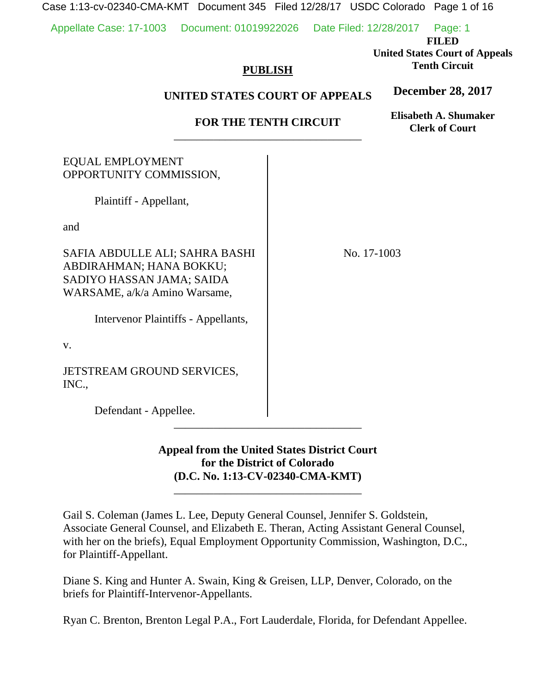Case 1:13-cv-02340-CMA-KMT Document 345 Filed 12/28/17 USDC Colorado Page 1 of 16

Appellate Case: 17-1003 Document: 01019922026 Date Filed: 12/28/2017 Page: 1

**FILED** 

**United States Court of Appeals Tenth Circuit** 

## **PUBLISH**

## **UNITED STATES COURT OF APPEALS**

# **FOR THE TENTH CIRCUIT**  \_\_\_\_\_\_\_\_\_\_\_\_\_\_\_\_\_\_\_\_\_\_\_\_\_\_\_\_\_\_\_\_\_

**Elisabeth A. Shumaker Clerk of Court**

**December 28, 2017**

| <b>EQUAL EMPLOYMENT</b><br>OPPORTUNITY COMMISSION,                                                                                                             |             |
|----------------------------------------------------------------------------------------------------------------------------------------------------------------|-------------|
| Plaintiff - Appellant,                                                                                                                                         |             |
| and                                                                                                                                                            |             |
| SAFIA ABDULLE ALI; SAHRA BASHI<br>ABDIRAHMAN; HANA BOKKU;<br>SADIYO HASSAN JAMA; SAIDA<br>WARSAME, a/k/a Amino Warsame,<br>Intervenor Plaintiffs - Appellants, | No. 17-1003 |
| V.                                                                                                                                                             |             |
| JETSTREAM GROUND SERVICES,<br>INC.,                                                                                                                            |             |
| Defendant - Appellee.                                                                                                                                          |             |

# **Appeal from the United States District Court for the District of Colorado (D.C. No. 1:13-CV-02340-CMA-KMT)**

\_\_\_\_\_\_\_\_\_\_\_\_\_\_\_\_\_\_\_\_\_\_\_\_\_\_\_\_\_\_\_\_\_

Gail S. Coleman (James L. Lee, Deputy General Counsel, Jennifer S. Goldstein, Associate General Counsel, and Elizabeth E. Theran, Acting Assistant General Counsel, with her on the briefs), Equal Employment Opportunity Commission, Washington, D.C., for Plaintiff-Appellant.

Diane S. King and Hunter A. Swain, King & Greisen, LLP, Denver, Colorado, on the briefs for Plaintiff-Intervenor-Appellants.

Ryan C. Brenton, Brenton Legal P.A., Fort Lauderdale, Florida, for Defendant Appellee.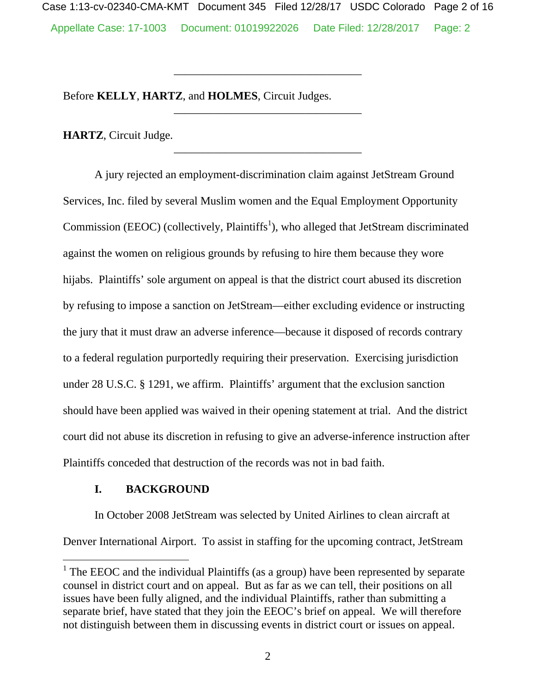Appellate Case: 17-1003 Document: 01019922026 Date Filed: 12/28/2017 Page: 2 Case 1:13-cv-02340-CMA-KMT Document 345 Filed 12/28/17 USDC Colorado Page 2 of 16

\_\_\_\_\_\_\_\_\_\_\_\_\_\_\_\_\_\_\_\_\_\_\_\_\_\_\_\_\_\_\_\_\_

\_\_\_\_\_\_\_\_\_\_\_\_\_\_\_\_\_\_\_\_\_\_\_\_\_\_\_\_\_\_\_\_\_

\_\_\_\_\_\_\_\_\_\_\_\_\_\_\_\_\_\_\_\_\_\_\_\_\_\_\_\_\_\_\_\_\_

Before **KELLY**, **HARTZ**, and **HOLMES**, Circuit Judges.

**HARTZ**, Circuit Judge.

A jury rejected an employment-discrimination claim against JetStream Ground Services, Inc. filed by several Muslim women and the Equal Employment Opportunity Commission (EEOC) (collectively, Plaintiffs<sup>1</sup>), who alleged that JetStream discriminated against the women on religious grounds by refusing to hire them because they wore hijabs. Plaintiffs' sole argument on appeal is that the district court abused its discretion by refusing to impose a sanction on JetStream—either excluding evidence or instructing the jury that it must draw an adverse inference—because it disposed of records contrary to a federal regulation purportedly requiring their preservation. Exercising jurisdiction under 28 U.S.C. § 1291, we affirm. Plaintiffs' argument that the exclusion sanction should have been applied was waived in their opening statement at trial. And the district court did not abuse its discretion in refusing to give an adverse-inference instruction after Plaintiffs conceded that destruction of the records was not in bad faith.

## **I. BACKGROUND**

 $\overline{a}$ 

In October 2008 JetStream was selected by United Airlines to clean aircraft at Denver International Airport. To assist in staffing for the upcoming contract, JetStream

<sup>&</sup>lt;sup>1</sup> The EEOC and the individual Plaintiffs (as a group) have been represented by separate counsel in district court and on appeal. But as far as we can tell, their positions on all issues have been fully aligned, and the individual Plaintiffs, rather than submitting a separate brief, have stated that they join the EEOC's brief on appeal. We will therefore not distinguish between them in discussing events in district court or issues on appeal.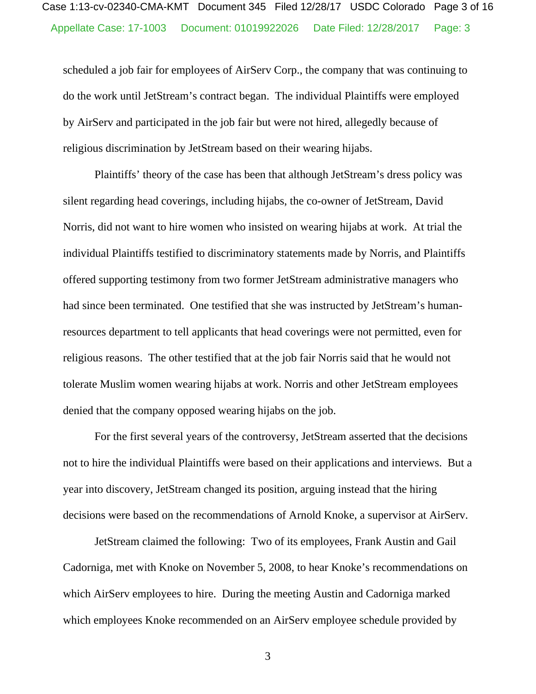scheduled a job fair for employees of AirServ Corp., the company that was continuing to do the work until JetStream's contract began. The individual Plaintiffs were employed by AirServ and participated in the job fair but were not hired, allegedly because of religious discrimination by JetStream based on their wearing hijabs.

Plaintiffs' theory of the case has been that although JetStream's dress policy was silent regarding head coverings, including hijabs, the co-owner of JetStream, David Norris, did not want to hire women who insisted on wearing hijabs at work. At trial the individual Plaintiffs testified to discriminatory statements made by Norris, and Plaintiffs offered supporting testimony from two former JetStream administrative managers who had since been terminated. One testified that she was instructed by JetStream's humanresources department to tell applicants that head coverings were not permitted, even for religious reasons. The other testified that at the job fair Norris said that he would not tolerate Muslim women wearing hijabs at work. Norris and other JetStream employees denied that the company opposed wearing hijabs on the job.

For the first several years of the controversy, JetStream asserted that the decisions not to hire the individual Plaintiffs were based on their applications and interviews. But a year into discovery, JetStream changed its position, arguing instead that the hiring decisions were based on the recommendations of Arnold Knoke, a supervisor at AirServ.

JetStream claimed the following: Two of its employees, Frank Austin and Gail Cadorniga, met with Knoke on November 5, 2008, to hear Knoke's recommendations on which AirServ employees to hire. During the meeting Austin and Cadorniga marked which employees Knoke recommended on an AirServ employee schedule provided by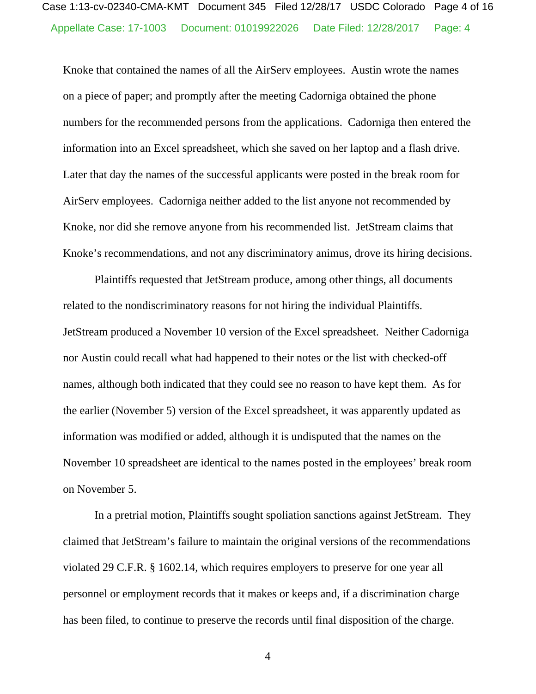Knoke that contained the names of all the AirServ employees. Austin wrote the names on a piece of paper; and promptly after the meeting Cadorniga obtained the phone numbers for the recommended persons from the applications. Cadorniga then entered the information into an Excel spreadsheet, which she saved on her laptop and a flash drive. Later that day the names of the successful applicants were posted in the break room for AirServ employees. Cadorniga neither added to the list anyone not recommended by Knoke, nor did she remove anyone from his recommended list. JetStream claims that Knoke's recommendations, and not any discriminatory animus, drove its hiring decisions.

Plaintiffs requested that JetStream produce, among other things, all documents related to the nondiscriminatory reasons for not hiring the individual Plaintiffs. JetStream produced a November 10 version of the Excel spreadsheet. Neither Cadorniga nor Austin could recall what had happened to their notes or the list with checked-off names, although both indicated that they could see no reason to have kept them. As for the earlier (November 5) version of the Excel spreadsheet, it was apparently updated as information was modified or added, although it is undisputed that the names on the November 10 spreadsheet are identical to the names posted in the employees' break room on November 5.

In a pretrial motion, Plaintiffs sought spoliation sanctions against JetStream. They claimed that JetStream's failure to maintain the original versions of the recommendations violated 29 C.F.R. § 1602.14, which requires employers to preserve for one year all personnel or employment records that it makes or keeps and, if a discrimination charge has been filed, to continue to preserve the records until final disposition of the charge.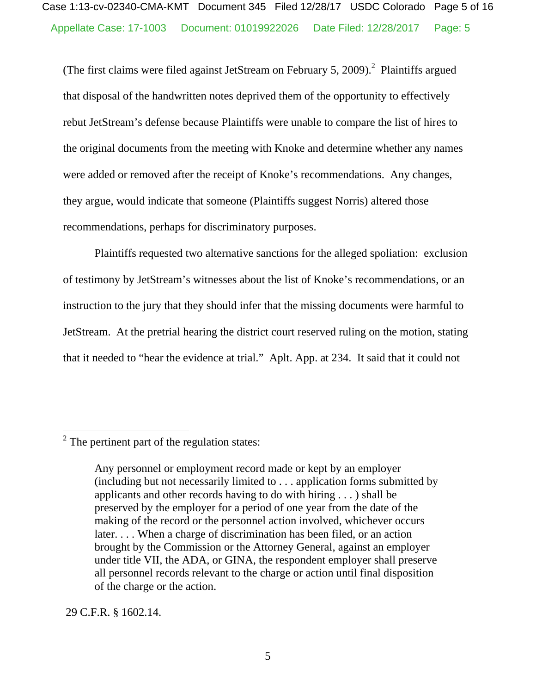(The first claims were filed against JetStream on February 5, 2009).<sup>2</sup> Plaintiffs argued that disposal of the handwritten notes deprived them of the opportunity to effectively rebut JetStream's defense because Plaintiffs were unable to compare the list of hires to the original documents from the meeting with Knoke and determine whether any names were added or removed after the receipt of Knoke's recommendations. Any changes, they argue, would indicate that someone (Plaintiffs suggest Norris) altered those recommendations, perhaps for discriminatory purposes.

Plaintiffs requested two alternative sanctions for the alleged spoliation: exclusion of testimony by JetStream's witnesses about the list of Knoke's recommendations, or an instruction to the jury that they should infer that the missing documents were harmful to JetStream. At the pretrial hearing the district court reserved ruling on the motion, stating that it needed to "hear the evidence at trial." Aplt. App. at 234. It said that it could not

29 C.F.R. § 1602.14.

 $2^2$  The pertinent part of the regulation states:

Any personnel or employment record made or kept by an employer (including but not necessarily limited to . . . application forms submitted by applicants and other records having to do with hiring . . . ) shall be preserved by the employer for a period of one year from the date of the making of the record or the personnel action involved, whichever occurs later. . . . When a charge of discrimination has been filed, or an action brought by the Commission or the Attorney General, against an employer under title VII, the ADA, or GINA, the respondent employer shall preserve all personnel records relevant to the charge or action until final disposition of the charge or the action.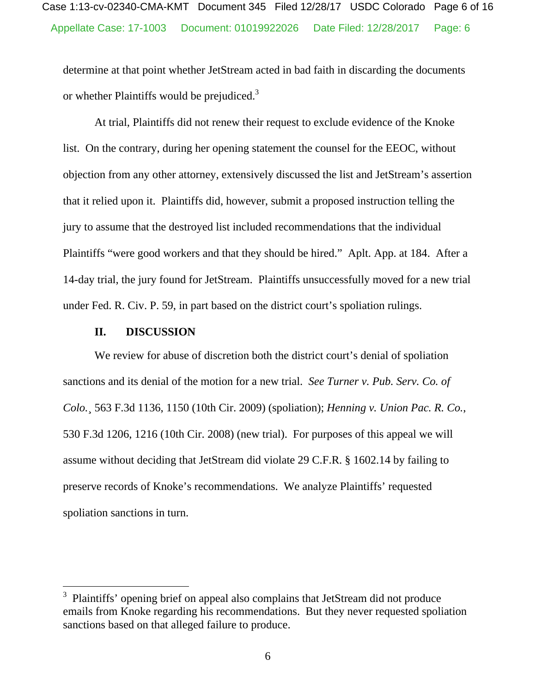determine at that point whether JetStream acted in bad faith in discarding the documents or whether Plaintiffs would be prejudiced.<sup>3</sup>

At trial, Plaintiffs did not renew their request to exclude evidence of the Knoke list. On the contrary, during her opening statement the counsel for the EEOC, without objection from any other attorney, extensively discussed the list and JetStream's assertion that it relied upon it. Plaintiffs did, however, submit a proposed instruction telling the jury to assume that the destroyed list included recommendations that the individual Plaintiffs "were good workers and that they should be hired." Aplt. App. at 184. After a 14-day trial, the jury found for JetStream. Plaintiffs unsuccessfully moved for a new trial under Fed. R. Civ. P. 59, in part based on the district court's spoliation rulings.

#### **II. DISCUSSION**

 $\overline{a}$ 

We review for abuse of discretion both the district court's denial of spoliation sanctions and its denial of the motion for a new trial. *See Turner v. Pub. Serv. Co. of Colo.*¸ 563 F.3d 1136, 1150 (10th Cir. 2009) (spoliation); *Henning v. Union Pac. R. Co.*, 530 F.3d 1206, 1216 (10th Cir. 2008) (new trial). For purposes of this appeal we will assume without deciding that JetStream did violate 29 C.F.R. § 1602.14 by failing to preserve records of Knoke's recommendations. We analyze Plaintiffs' requested spoliation sanctions in turn.

<sup>&</sup>lt;sup>3</sup> Plaintiffs' opening brief on appeal also complains that JetStream did not produce emails from Knoke regarding his recommendations. But they never requested spoliation sanctions based on that alleged failure to produce.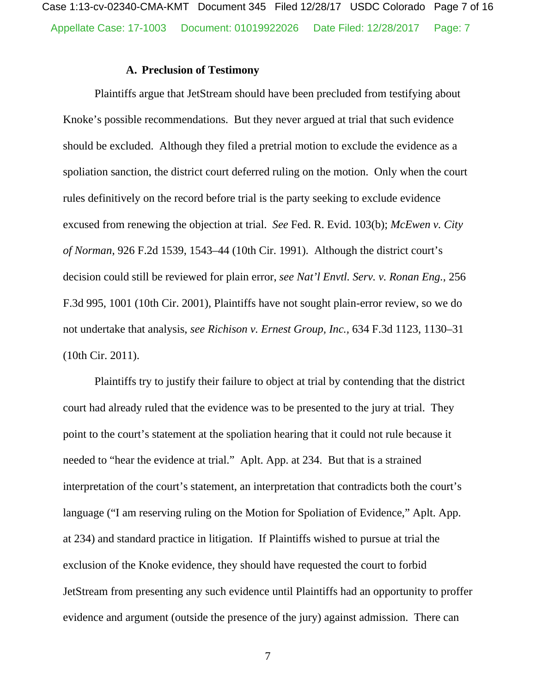Appellate Case: 17-1003 Document: 01019922026 Date Filed: 12/28/2017 Page: 7 Case 1:13-cv-02340-CMA-KMT Document 345 Filed 12/28/17 USDC Colorado Page 7 of 16

### **A. Preclusion of Testimony**

Plaintiffs argue that JetStream should have been precluded from testifying about Knoke's possible recommendations. But they never argued at trial that such evidence should be excluded. Although they filed a pretrial motion to exclude the evidence as a spoliation sanction, the district court deferred ruling on the motion. Only when the court rules definitively on the record before trial is the party seeking to exclude evidence excused from renewing the objection at trial. *See* Fed. R. Evid. 103(b); *McEwen v. City of Norman*, 926 F.2d 1539, 1543–44 (10th Cir. 1991). Although the district court's decision could still be reviewed for plain error, *see Nat'l Envtl. Serv. v. Ronan Eng.*, 256 F.3d 995, 1001 (10th Cir. 2001), Plaintiffs have not sought plain-error review, so we do not undertake that analysis, *see Richison v. Ernest Group, Inc.,* 634 F.3d 1123, 1130–31 (10th Cir. 2011).

Plaintiffs try to justify their failure to object at trial by contending that the district court had already ruled that the evidence was to be presented to the jury at trial. They point to the court's statement at the spoliation hearing that it could not rule because it needed to "hear the evidence at trial." Aplt. App. at 234. But that is a strained interpretation of the court's statement, an interpretation that contradicts both the court's language ("I am reserving ruling on the Motion for Spoliation of Evidence," Aplt. App. at 234) and standard practice in litigation. If Plaintiffs wished to pursue at trial the exclusion of the Knoke evidence, they should have requested the court to forbid JetStream from presenting any such evidence until Plaintiffs had an opportunity to proffer evidence and argument (outside the presence of the jury) against admission. There can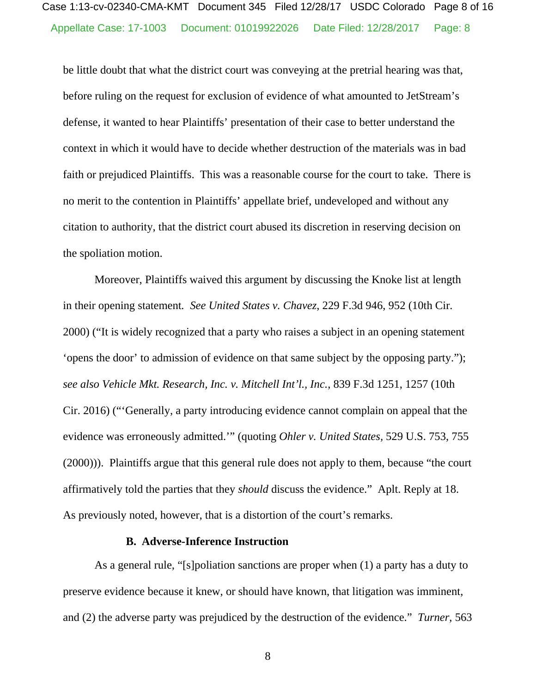be little doubt that what the district court was conveying at the pretrial hearing was that, before ruling on the request for exclusion of evidence of what amounted to JetStream's defense, it wanted to hear Plaintiffs' presentation of their case to better understand the context in which it would have to decide whether destruction of the materials was in bad faith or prejudiced Plaintiffs. This was a reasonable course for the court to take. There is no merit to the contention in Plaintiffs' appellate brief, undeveloped and without any citation to authority, that the district court abused its discretion in reserving decision on the spoliation motion.

Moreover, Plaintiffs waived this argument by discussing the Knoke list at length in their opening statement*. See United States v. Chavez*, 229 F.3d 946, 952 (10th Cir. 2000) ("It is widely recognized that a party who raises a subject in an opening statement 'opens the door' to admission of evidence on that same subject by the opposing party."); *see also Vehicle Mkt. Research, Inc. v. Mitchell Int'l., Inc.*, 839 F.3d 1251, 1257 (10th Cir. 2016) ("'Generally, a party introducing evidence cannot complain on appeal that the evidence was erroneously admitted.'" (quoting *Ohler v. United States,* 529 U.S. 753, 755 (2000))). Plaintiffs argue that this general rule does not apply to them, because "the court affirmatively told the parties that they *should* discuss the evidence." Aplt. Reply at 18. As previously noted, however, that is a distortion of the court's remarks.

#### **B. Adverse-Inference Instruction**

As a general rule, "[s]poliation sanctions are proper when (1) a party has a duty to preserve evidence because it knew, or should have known, that litigation was imminent, and (2) the adverse party was prejudiced by the destruction of the evidence." *Turner*, 563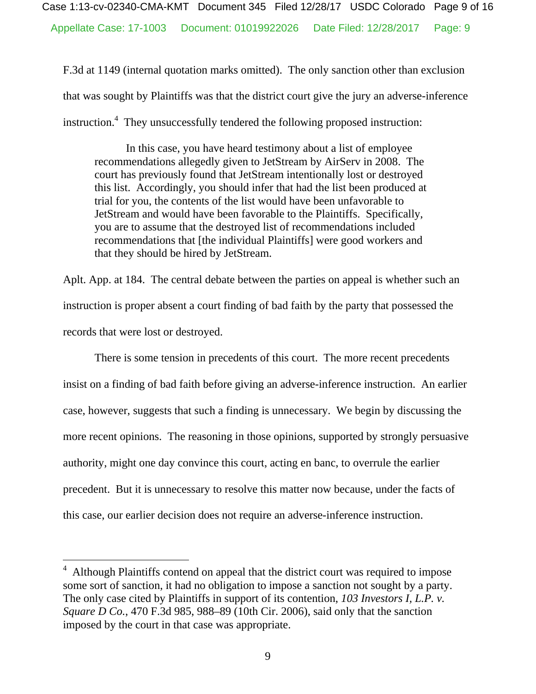F.3d at 1149 (internal quotation marks omitted). The only sanction other than exclusion that was sought by Plaintiffs was that the district court give the jury an adverse-inference instruction.<sup>4</sup> They unsuccessfully tendered the following proposed instruction:

In this case, you have heard testimony about a list of employee recommendations allegedly given to JetStream by AirServ in 2008. The court has previously found that JetStream intentionally lost or destroyed this list. Accordingly, you should infer that had the list been produced at trial for you, the contents of the list would have been unfavorable to JetStream and would have been favorable to the Plaintiffs. Specifically, you are to assume that the destroyed list of recommendations included recommendations that [the individual Plaintiffs] were good workers and that they should be hired by JetStream.

Aplt. App. at 184. The central debate between the parties on appeal is whether such an instruction is proper absent a court finding of bad faith by the party that possessed the records that were lost or destroyed.

There is some tension in precedents of this court. The more recent precedents insist on a finding of bad faith before giving an adverse-inference instruction. An earlier case, however, suggests that such a finding is unnecessary. We begin by discussing the more recent opinions. The reasoning in those opinions, supported by strongly persuasive authority, might one day convince this court, acting en banc, to overrule the earlier precedent. But it is unnecessary to resolve this matter now because, under the facts of this case, our earlier decision does not require an adverse-inference instruction.

 $\overline{a}$ 

<sup>&</sup>lt;sup>4</sup> Although Plaintiffs contend on appeal that the district court was required to impose some sort of sanction, it had no obligation to impose a sanction not sought by a party. The only case cited by Plaintiffs in support of its contention, *103 Investors I, L.P. v. Square D Co.*, 470 F.3d 985, 988–89 (10th Cir. 2006), said only that the sanction imposed by the court in that case was appropriate.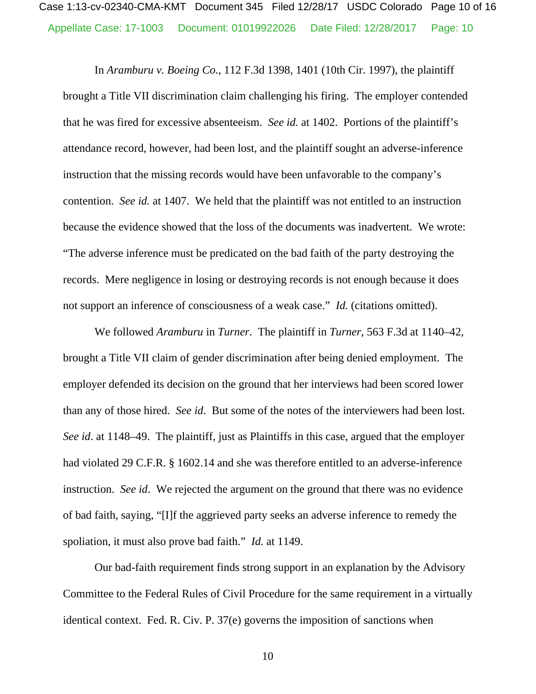In *Aramburu v. Boeing Co.*, 112 F.3d 1398, 1401 (10th Cir. 1997), the plaintiff brought a Title VII discrimination claim challenging his firing. The employer contended that he was fired for excessive absenteeism. *See id.* at 1402. Portions of the plaintiff's attendance record, however, had been lost, and the plaintiff sought an adverse-inference instruction that the missing records would have been unfavorable to the company's contention. *See id.* at 1407. We held that the plaintiff was not entitled to an instruction because the evidence showed that the loss of the documents was inadvertent. We wrote: "The adverse inference must be predicated on the bad faith of the party destroying the records. Mere negligence in losing or destroying records is not enough because it does not support an inference of consciousness of a weak case." *Id.* (citations omitted).

We followed *Aramburu* in *Turner*. The plaintiff in *Turner*, 563 F.3d at 1140–42, brought a Title VII claim of gender discrimination after being denied employment. The employer defended its decision on the ground that her interviews had been scored lower than any of those hired. *See id*. But some of the notes of the interviewers had been lost. *See id*. at 1148–49. The plaintiff, just as Plaintiffs in this case, argued that the employer had violated 29 C.F.R. § 1602.14 and she was therefore entitled to an adverse-inference instruction. *See id*. We rejected the argument on the ground that there was no evidence of bad faith, saying, "[I]f the aggrieved party seeks an adverse inference to remedy the spoliation, it must also prove bad faith." *Id.* at 1149.

Our bad-faith requirement finds strong support in an explanation by the Advisory Committee to the Federal Rules of Civil Procedure for the same requirement in a virtually identical context. Fed. R. Civ. P. 37(e) governs the imposition of sanctions when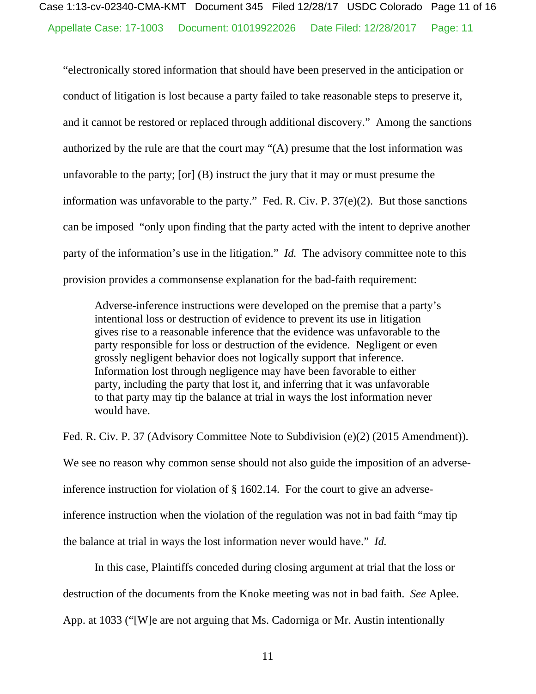"electronically stored information that should have been preserved in the anticipation or conduct of litigation is lost because a party failed to take reasonable steps to preserve it, and it cannot be restored or replaced through additional discovery." Among the sanctions authorized by the rule are that the court may "(A) presume that the lost information was unfavorable to the party; [or] (B) instruct the jury that it may or must presume the information was unfavorable to the party." Fed. R. Civ. P. 37(e)(2). But those sanctions can be imposed "only upon finding that the party acted with the intent to deprive another party of the information's use in the litigation." *Id.* The advisory committee note to this provision provides a commonsense explanation for the bad-faith requirement:

Adverse-inference instructions were developed on the premise that a party's intentional loss or destruction of evidence to prevent its use in litigation gives rise to a reasonable inference that the evidence was unfavorable to the party responsible for loss or destruction of the evidence. Negligent or even grossly negligent behavior does not logically support that inference. Information lost through negligence may have been favorable to either party, including the party that lost it, and inferring that it was unfavorable to that party may tip the balance at trial in ways the lost information never would have.

Fed. R. Civ. P. 37 (Advisory Committee Note to Subdivision (e)(2) (2015 Amendment)). We see no reason why common sense should not also guide the imposition of an adverseinference instruction for violation of § 1602.14. For the court to give an adverseinference instruction when the violation of the regulation was not in bad faith "may tip the balance at trial in ways the lost information never would have." *Id.* 

 In this case, Plaintiffs conceded during closing argument at trial that the loss or destruction of the documents from the Knoke meeting was not in bad faith. *See* Aplee.

App. at 1033 ("[W]e are not arguing that Ms. Cadorniga or Mr. Austin intentionally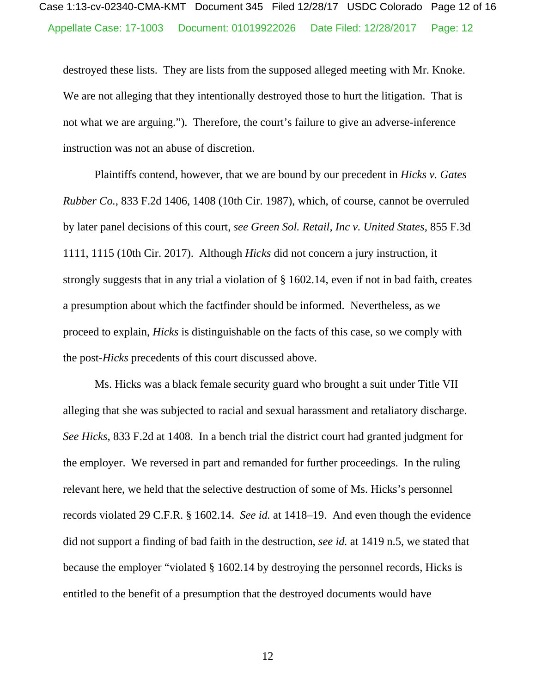destroyed these lists. They are lists from the supposed alleged meeting with Mr. Knoke. We are not alleging that they intentionally destroyed those to hurt the litigation. That is not what we are arguing."). Therefore, the court's failure to give an adverse-inference instruction was not an abuse of discretion.

 Plaintiffs contend, however, that we are bound by our precedent in *Hicks v. Gates Rubber Co.*, 833 F.2d 1406, 1408 (10th Cir. 1987), which, of course, cannot be overruled by later panel decisions of this court, *see Green Sol. Retail, Inc v. United States*, 855 F.3d 1111, 1115 (10th Cir. 2017). Although *Hicks* did not concern a jury instruction, it strongly suggests that in any trial a violation of § 1602.14, even if not in bad faith, creates a presumption about which the factfinder should be informed. Nevertheless, as we proceed to explain, *Hicks* is distinguishable on the facts of this case, so we comply with the post-*Hicks* precedents of this court discussed above.

 Ms. Hicks was a black female security guard who brought a suit under Title VII alleging that she was subjected to racial and sexual harassment and retaliatory discharge. *See Hicks*, 833 F.2d at 1408. In a bench trial the district court had granted judgment for the employer. We reversed in part and remanded for further proceedings. In the ruling relevant here, we held that the selective destruction of some of Ms. Hicks's personnel records violated 29 C.F.R. § 1602.14. *See id.* at 1418–19. And even though the evidence did not support a finding of bad faith in the destruction, *see id.* at 1419 n.5, we stated that because the employer "violated § 1602.14 by destroying the personnel records, Hicks is entitled to the benefit of a presumption that the destroyed documents would have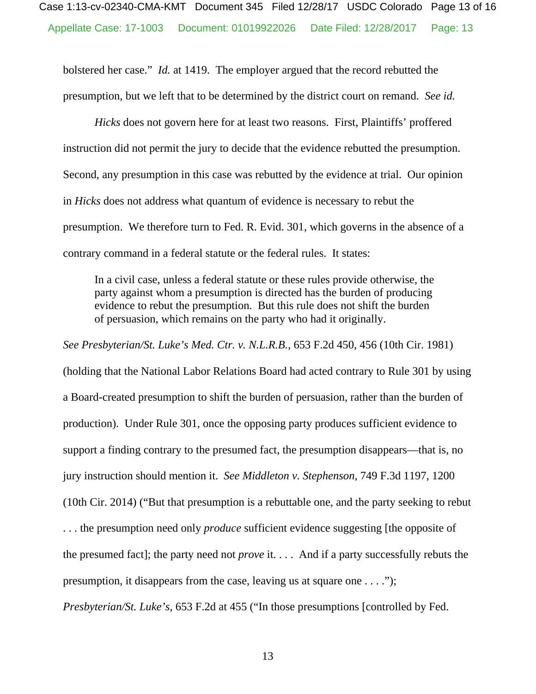bolstered her case." *Id.* at 1419. The employer argued that the record rebutted the presumption, but we left that to be determined by the district court on remand. *See id.* 

*Hicks* does not govern here for at least two reasons. First, Plaintiffs' proffered instruction did not permit the jury to decide that the evidence rebutted the presumption. Second, any presumption in this case was rebutted by the evidence at trial. Our opinion in *Hicks* does not address what quantum of evidence is necessary to rebut the presumption. We therefore turn to Fed. R. Evid. 301, which governs in the absence of a contrary command in a federal statute or the federal rules. It states:

In a civil case, unless a federal statute or these rules provide otherwise, the party against whom a presumption is directed has the burden of producing evidence to rebut the presumption. But this rule does not shift the burden of persuasion, which remains on the party who had it originally.

*See Presbyterian/St. Luke's Med. Ctr. v. N.L.R.B.*, 653 F.2d 450, 456 (10th Cir. 1981) (holding that the National Labor Relations Board had acted contrary to Rule 301 by using a Board-created presumption to shift the burden of persuasion, rather than the burden of production). Under Rule 301, once the opposing party produces sufficient evidence to support a finding contrary to the presumed fact, the presumption disappears—that is, no jury instruction should mention it. *See Middleton v. Stephenson*, 749 F.3d 1197, 1200 (10th Cir. 2014) ("But that presumption is a rebuttable one, and the party seeking to rebut . . . the presumption need only *produce* sufficient evidence suggesting [the opposite of the presumed fact]; the party need not *prove* it. . . . And if a party successfully rebuts the presumption, it disappears from the case, leaving us at square one . . . .");

*Presbyterian/St. Luke's*, 653 F.2d at 455 ("In those presumptions [controlled by Fed.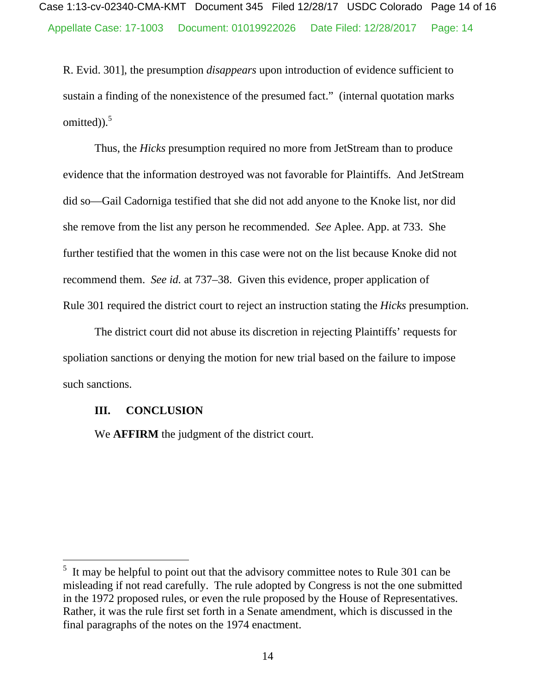R. Evid. 301], the presumption *disappears* upon introduction of evidence sufficient to sustain a finding of the nonexistence of the presumed fact."(internal quotation marks omitted) $).$ <sup>5</sup>

Thus, the *Hicks* presumption required no more from JetStream than to produce evidence that the information destroyed was not favorable for Plaintiffs. And JetStream did so—Gail Cadorniga testified that she did not add anyone to the Knoke list, nor did she remove from the list any person he recommended. *See* Aplee. App. at 733. She further testified that the women in this case were not on the list because Knoke did not recommend them. *See id.* at 737–38. Given this evidence, proper application of Rule 301 required the district court to reject an instruction stating the *Hicks* presumption.

The district court did not abuse its discretion in rejecting Plaintiffs' requests for spoliation sanctions or denying the motion for new trial based on the failure to impose such sanctions.

#### **III. CONCLUSION**

 $\overline{a}$ 

We **AFFIRM** the judgment of the district court.

 $<sup>5</sup>$  It may be helpful to point out that the advisory committee notes to Rule 301 can be</sup> misleading if not read carefully. The rule adopted by Congress is not the one submitted in the 1972 proposed rules, or even the rule proposed by the House of Representatives. Rather, it was the rule first set forth in a Senate amendment, which is discussed in the final paragraphs of the notes on the 1974 enactment.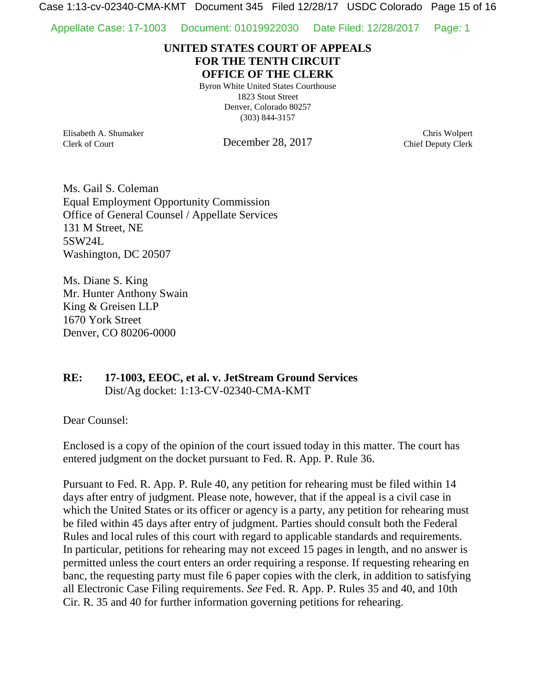Case 1:13-cv-02340-CMA-KMT Document 345 Filed 12/28/17 USDC Colorado Page 15 of 16

Appellate Case: 17-1003 Document: 01019922030 Date Filed: 12/28/2017 Page: 1

## **UNITED STATES COURT OF APPEALS FOR THE TENTH CIRCUIT OFFICE OF THE CLERK**

Byron White United States Courthouse 1823 Stout Street Denver, Colorado 80257 (303) 844-3157

Elisabeth A. Shumaker Clerk of Court

December 28, 2017

Chris Wolpert Chief Deputy Clerk

Ms. Gail S. Coleman Equal Employment Opportunity Commission Office of General Counsel / Appellate Services 131 M Street, NE 5SW24L Washington, DC 20507

Ms. Diane S. King Mr. Hunter Anthony Swain King & Greisen LLP 1670 York Street Denver, CO 80206-0000

**RE: 17-1003, EEOC, et al. v. JetStream Ground Services** Dist/Ag docket: 1:13-CV-02340-CMA-KMT

Dear Counsel:

Enclosed is a copy of the opinion of the court issued today in this matter. The court has entered judgment on the docket pursuant to Fed. R. App. P. Rule 36.

Pursuant to Fed. R. App. P. Rule 40, any petition for rehearing must be filed within 14 days after entry of judgment. Please note, however, that if the appeal is a civil case in which the United States or its officer or agency is a party, any petition for rehearing must be filed within 45 days after entry of judgment. Parties should consult both the Federal Rules and local rules of this court with regard to applicable standards and requirements. In particular, petitions for rehearing may not exceed 15 pages in length, and no answer is permitted unless the court enters an order requiring a response. If requesting rehearing en banc, the requesting party must file 6 paper copies with the clerk, in addition to satisfying all Electronic Case Filing requirements. *See* Fed. R. App. P. Rules 35 and 40, and 10th Cir. R. 35 and 40 for further information governing petitions for rehearing.